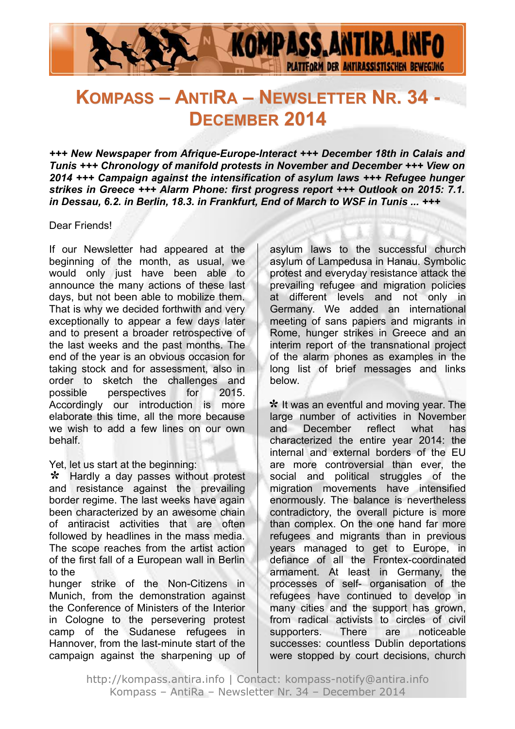

# **KOMPASS – ANTIRA – NEWSLETTER NR. 34 - DECEMBER 2014**

*+++ New Newspaper from Afrique-Europe-Interact +++ December 18th in Calais and Tunis +++ Chronology of manifold protests in November and December +++ View on 2014 +++ Campaign against the intensification of asylum laws +++ Refugee hunger strikes in Greece +++ Alarm Phone: first progress report +++ Outlook on 2015: 7.1. in Dessau, 6.2. in Berlin, 18.3. in Frankfurt, End of March to WSF in Tunis ... +++*

#### Dear Friends!

If our Newsletter had appeared at the beginning of the month, as usual, we would only just have been able to announce the many actions of these last days, but not been able to mobilize them. That is why we decided forthwith and very exceptionally to appear a few days later and to present a broader retrospective of the last weeks and the past months. The end of the year is an obvious occasion for taking stock and for assessment, also in order to sketch the challenges and possible perspectives for 2015. Accordingly our introduction is more elaborate this time, all the more because we wish to add a few lines on our own behalf.

Yet, let us start at the beginning:

\* Hardly a day passes without protest and resistance against the prevailing border regime. The last weeks have again been characterized by an awesome chain of antiracist activities that are often followed by headlines in the mass media. The scope reaches from the artist action of the first fall of a European wall in Berlin to the

hunger strike of the Non-Citizens in Munich, from the demonstration against the Conference of Ministers of the Interior in Cologne to the persevering protest camp of the Sudanese refugees in Hannover, from the last-minute start of the campaign against the sharpening up of

asylum laws to the successful church asylum of Lampedusa in Hanau. Symbolic protest and everyday resistance attack the prevailing refugee and migration policies at different levels and not only in Germany. We added an international meeting of sans papiers and migrants in Rome, hunger strikes in Greece and an interim report of the transnational project of the alarm phones as examples in the long list of brief messages and links below.

\* It was an eventful and moving year. The large number of activities in November and December reflect what has characterized the entire year 2014: the internal and external borders of the EU are more controversial than ever, the social and political struggles of the migration movements have intensified enormously. The balance is nevertheless contradictory, the overall picture is more than complex. On the one hand far more refugees and migrants than in previous years managed to get to Europe, in defiance of all the Frontex-coordinated armament. At least in Germany, the processes of self- organisation of the refugees have continued to develop in many cities and the support has grown, from radical activists to circles of civil supporters. There are noticeable successes: countless Dublin deportations were stopped by court decisions, church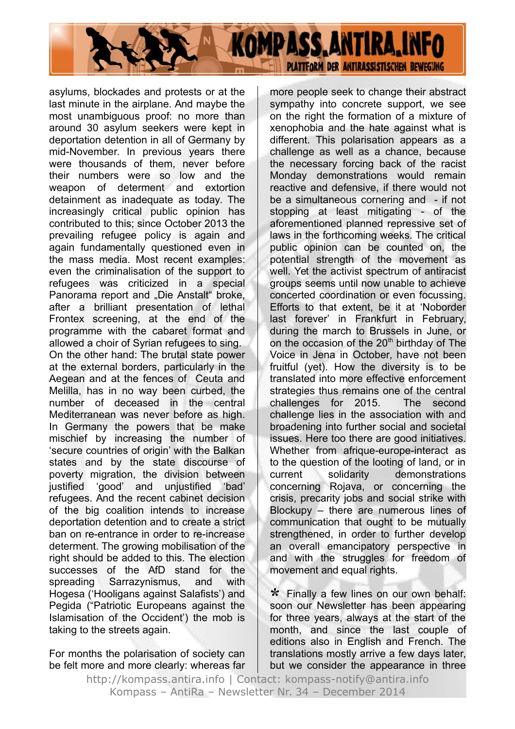

asylums, blockades and protests or at the last minute in the airplane. And maybe the most unambiguous proof: no more than around 30 asylum seekers were kept in deportation detention in all of Germany by mid-November. In previous years there were thousands of them, never before their numbers were so low and the weapon of determent and extortion detainment as inadequate as today. The increasingly critical public opinion has contributed to this; since October 2013 the prevailing refugee policy is again and again fundamentally questioned even in the mass media. Most recent examples: even the criminalisation of the support to refugees was criticized in a special Panorama report and "Die Anstalt" broke, after a brilliant presentation of lethal Frontex screening, at the end of the programme with the cabaret format and allowed a choir of Syrian refugees to sing. On the other hand: The brutal state power at the external borders, particularly in the Aegean and at the fences of Ceuta and Melilla, has in no way been curbed, the number of deceased in the central Mediterranean was never before as high. In Germany the powers that be make mischief by increasing the number of 'secure countries of origin' with the Balkan states and by the state discourse of poverty migration, the division between justified 'good' and unjustified 'bad' refugees. And the recent cabinet decision of the big coalition intends to increase deportation detention and to create a strict ban on re-entrance in order to re-increase determent. The growing mobilisation of the right should be added to this. The election successes of the AfD stand for the spreading Sarrazynismus, and with Hogesa ('Hooligans against Salafists') and Pegida ("Patriotic Europeans against the Islamisation of the Occident') the mob is taking to the streets again.

For months the polarisation of society can be felt more and more clearly: whereas far more people seek to change their abstract sympathy into concrete support, we see on the right the formation of a mixture of xenophobia and the hate against what is different. This polarisation appears as a challenge as well as a chance, because the necessary forcing back of the racist Monday demonstrations would remain reactive and defensive, if there would not be a simultaneous cornering and - if not stopping at least mitigating - of the aforementioned planned repressive set of laws in the forthcoming weeks. The critical public opinion can be counted on, the potential strength of the movement as well. Yet the activist spectrum of antiracist groups seems until now unable to achieve concerted coordination or even focussing. Efforts to that extent, be it at 'Noborder last forever' in Frankfurt in February, during the march to Brussels in June, or on the occasion of the  $20<sup>th</sup>$  birthday of The Voice in Jena in October, have not been fruitful (yet). How the diversity is to be translated into more effective enforcement strategies thus remains one of the central challenges for 2015. The second challenge lies in the association with and broadening into further social and societal issues. Here too there are good initiatives. Whether from afrique-europe-interact as to the question of the looting of land, or in current solidarity demonstrations concerning Rojava, or concerning the crisis, precarity jobs and social strike with Blockupy – there are numerous lines of communication that ought to be mutually strengthened, in order to further develop an overall emancipatory perspective in and with the struggles for freedom of movement and equal rights.

 Finally a few lines on our own behalf: **\***soon our Newsletter has been appearing for three years, always at the start of the month, and since the last couple of editions also in English and French. The translations mostly arrive a few days later, but we consider the appearance in three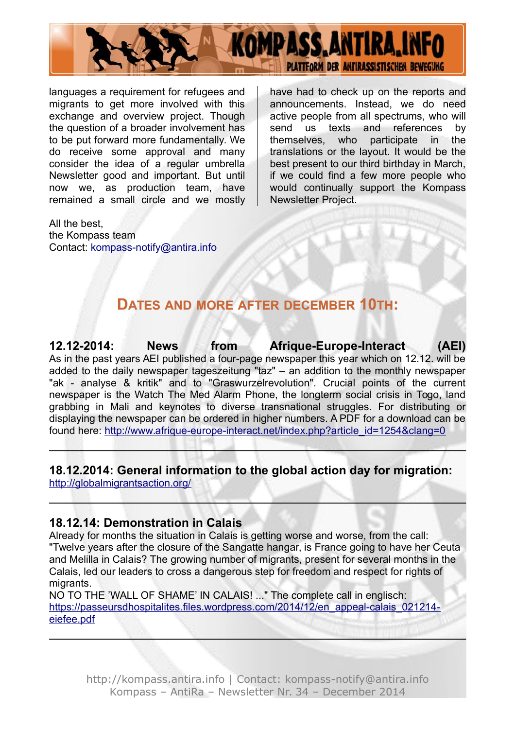

languages a requirement for refugees and migrants to get more involved with this exchange and overview project. Though the question of a broader involvement has to be put forward more fundamentally. We do receive some approval and many consider the idea of a regular umbrella Newsletter good and important. But until now we, as production team, have remained a small circle and we mostly have had to check up on the reports and announcements. Instead, we do need active people from all spectrums, who will send us texts and references by themselves, who participate in the translations or the layout. It would be the best present to our third birthday in March, if we could find a few more people who would continually support the Kompass Newsletter Project.

All the best, the Kompass team Contact: [kompass-notify@antira.inf](mailto:kompass-notify@antira.info)o

## **DATES AND MORE AFTER DECEMBER 10TH:**

**12.12-2014: News from Afrique-Europe-Interact (AEI)** As in the past years AEI published a four-page newspaper this year which on 12.12. will be added to the daily newspaper tageszeitung "taz" – an addition to the monthly newspaper "ak - analyse & kritik" and to "Graswurzelrevolution". Crucial points of the current newspaper is the Watch The Med Alarm Phone, the longterm social crisis in Togo, land grabbing in Mali and keynotes to diverse transnational struggles. For distributing or displaying the newspaper can be ordered in higher numbers. A PDF for a download can be found here: [http://www.afrique-europe-interact.net/index.php?article\\_id=1254&clang=0](http://www.afrique-europe-interact.net/index.php?article_id=1254&clang=0)

#### **18.12.2014: General information to the global action day for migration:** <http://globalmigrantsaction.org/>

#### **18.12.14: Demonstration in Calais**

Already for months the situation in Calais is getting worse and worse, from the call: "Twelve years after the closure of the Sangatte hangar, is France going to have her Ceuta and Melilla in Calais? The growing number of migrants, present for several months in the Calais, led our leaders to cross a dangerous step for freedom and respect for rights of migrants.

NO TO THE 'WALL OF SHAME' IN CALAIS! ..." The complete call in englisch: [https://passeursdhospitalites.files.wordpress.com/2014/12/en\\_appeal-calais\\_021214](https://passeursdhospitalites.files.wordpress.com/2014/12/en_appeal-calais_021214-eiefee.pdf) [eiefee.pdf](https://passeursdhospitalites.files.wordpress.com/2014/12/en_appeal-calais_021214-eiefee.pdf)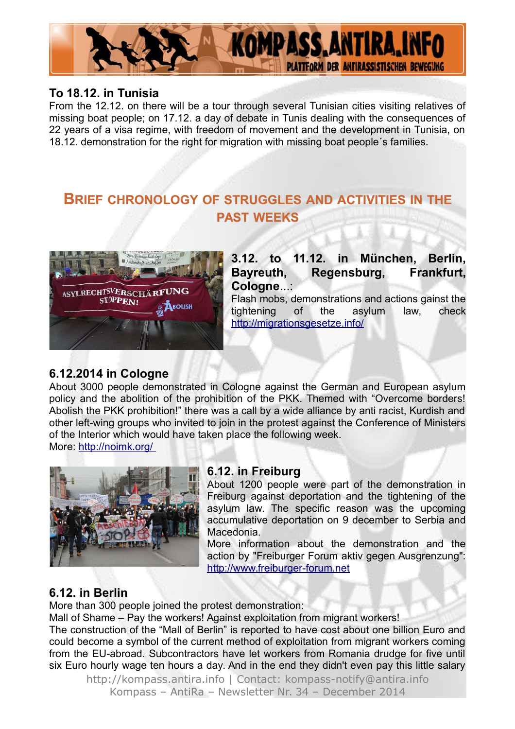

#### **To 18.12. in Tunisia**

From the 12.12. on there will be a tour through several Tunisian cities visiting relatives of missing boat people; on 17.12. a day of debate in Tunis dealing with the consequences of 22 years of a visa regime, with freedom of movement and the development in Tunisia, on 18.12. demonstration for the right for migration with missing boat people´s families.

# **BRIEF CHRONOLOGY OF STRUGGLES AND ACTIVITIES IN THE PAST WEEKS**



**3.12. to 11.12. in München, Berlin, Bayreuth, Regensburg, Frankfurt, Cologne**...:

Flash mobs, demonstrations and actions gainst the tightening of the asylum law, check <http://migrationsgesetze.info/>

#### **6.12.2014 in Cologne**

About 3000 people demonstrated in Cologne against the German and European asylum policy and the abolition of the prohibition of the PKK. Themed with "Overcome borders! Abolish the PKK prohibition!" there was a call by a wide alliance by anti racist, Kurdish and other left-wing groups who invited to join in the protest against the Conference of Ministers of the Interior which would have taken place the following week.

More:<http://noimk.org/>



#### **6.12. in Freiburg**

About 1200 people were part of the demonstration in Freiburg against deportation and the tightening of the asylum law. The specific reason was the upcoming accumulative deportation on 9 december to Serbia and Macedonia.

More information about the demonstration and the action by "Freiburger Forum aktiv gegen Ausgrenzung": [http://www.freiburger-forum.net](http://www.freiburger-forum.net/)

#### **6.12. in Berlin**

More than 300 people joined the protest demonstration:

Mall of Shame – Pay the workers! Against exploitation from migrant workers!

The construction of the "Mall of Berlin" is reported to have cost about one billion Euro and could become a symbol of the current method of exploitation from migrant workers coming from the EU-abroad. Subcontractors have let workers from Romania drudge for five until six Euro hourly wage ten hours a day. And in the end they didn't even pay this little salary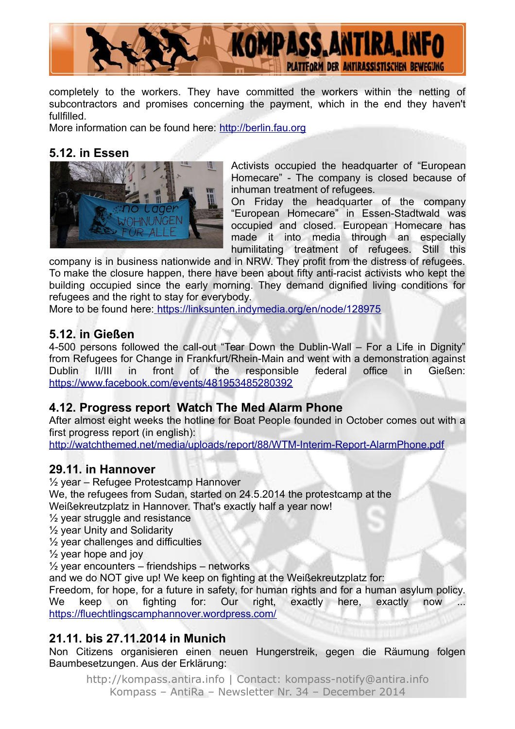

completely to the workers. They have committed the workers within the netting of subcontractors and promises concerning the payment, which in the end they haven't fullfilled.

More information can be found here: [http://berlin.fau.org](http://berlin.fau.org/)

#### **5.12. in Essen**



Activists occupied the headquarter of "European Homecare" - The company is closed because of inhuman treatment of refugees.

On Friday the headquarter of the company "European Homecare" in Essen-Stadtwald was occupied and closed. European Homecare has made it into media through an especially humilitating treatment of refugees. Still this

company is in business nationwide and in NRW. They profit from the distress of refugees. To make the closure happen, there have been about fifty anti-racist activists who kept the building occupied since the early morning. They demand dignified living conditions for refugees and the right to stay for everybody.

More to be found here: <https://linksunten.indymedia.org/en/node/128975>

#### **5.12. in Gießen**

4-500 persons followed the call-out "Tear Down the Dublin-Wall – For a Life in Dignity" from Refugees for Change in Frankfurt/Rhein-Main and went with a demonstration against Dublin II/III in front of the responsible federal office in Gießen: <https://www.facebook.com/events/481953485280392>

#### **4.12. Progress report Watch The Med Alarm Phone**

After almost eight weeks the hotline for Boat People founded in October comes out with a first progress report (in english):

<http://watchthemed.net/media/uploads/report/88/WTM-Interim-Report-AlarmPhone.pdf>

#### **29.11. in Hannover**

½ year – Refugee Protestcamp Hannover We, the refugees from Sudan, started on 24.5.2014 the protestcamp at the Weißekreutzplatz in Hannover. That's exactly half a year now!

½ year struggle and resistance

½ year Unity and Solidarity

½ year challenges and difficulties

 $\frac{1}{2}$  year hope and joy

 $\frac{1}{2}$  year encounters – friendships – networks

and we do NOT give up! We keep on fighting at the Weißekreutzplatz for:

Freedom, for hope, for a future in safety, for human rights and for a human asylum policy. We keep on fighting for: Our right, exactly here, exactly now ... <https://fluechtlingscamphannover.wordpress.com/>

#### **21.11. bis 27.11.2014 in Munich**

Non Citizens organisieren einen neuen Hungerstreik, gegen die Räumung folgen Baumbesetzungen. Aus der Erklärung: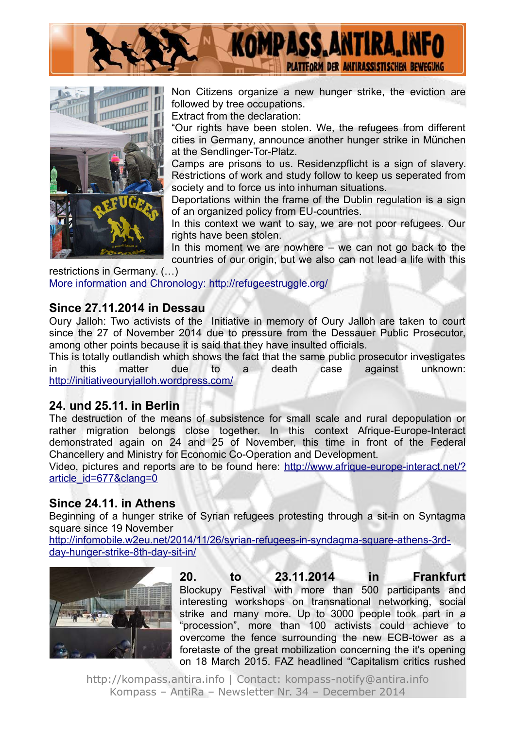



Non Citizens organize a new hunger strike, the eviction are followed by tree occupations.

Extract from the declaration:

"Our rights have been stolen. We, the refugees from different cities in Germany, announce another hunger strike in München at the Sendlinger-Tor-Platz.

Camps are prisons to us. Residenzpflicht is a sign of slavery. Restrictions of work and study follow to keep us seperated from society and to force us into inhuman situations.

Deportations within the frame of the Dublin regulation is a sign of an organized policy from EU-countries.

In this context we want to say, we are not poor refugees. Our rights have been stolen.

In this moment we are nowhere – we can not go back to the countries of our origin, but we also can not lead a life with this

restrictions in Germany. (…) More information and Chronology:<http://refugeestruggle.org/>

#### **Since 27.11.2014 in Dessau**

Oury Jalloh: Two activists of the Initiative in memory of Oury Jalloh are taken to court since the 27 of November 2014 due to pressure from the Dessauer Public Prosecutor, among other points because it is said that they have insulted officials.

This is totally outlandish which shows the fact that the same public prosecutor investigates in this matter due to a death case against unknown: <http://initiativeouryjalloh.wordpress.com/>

#### **24. und 25.11. in Berlin**

The destruction of the means of subsistence for small scale and rural depopulation or rather migration belongs close together. In this context Afrique-Europe-Interact demonstrated again on 24 and 25 of November, this time in front of the Federal Chancellery and Ministry for Economic Co-Operation and Development.

Video, pictures and reports are to be found here: [http://www.afrique-europe-interact.net/?](http://www.afrique-europe-interact.net/?article_id=677&clang=0) [article\\_id=677&clang=0](http://www.afrique-europe-interact.net/?article_id=677&clang=0)

#### **Since 24.11. in Athens**

Beginning of a hunger strike of Syrian refugees protesting through a sit-in on Syntagma square since 19 November

[http://infomobile.w2eu.net/2014/11/26/syrian-refugees-in-syndagma-square-athens-3rd](http://infomobile.w2eu.net/2014/11/26/syrian-refugees-in-syndagma-square-athens-3rd-day-hunger-strike-8th-day-sit-in/)[day-hunger-strike-8th-day-sit-in/](http://infomobile.w2eu.net/2014/11/26/syrian-refugees-in-syndagma-square-athens-3rd-day-hunger-strike-8th-day-sit-in/)



**20. to 23.11.2014 in Frankfurt** Blockupy Festival with more than 500 participants and interesting workshops on transnational networking, social strike and many more. Up to 3000 people took part in a "procession", more than 100 activists could achieve to overcome the fence surrounding the new ECB-tower as a foretaste of the great mobilization concerning the it's opening on 18 March 2015. FAZ headlined "Capitalism critics rushed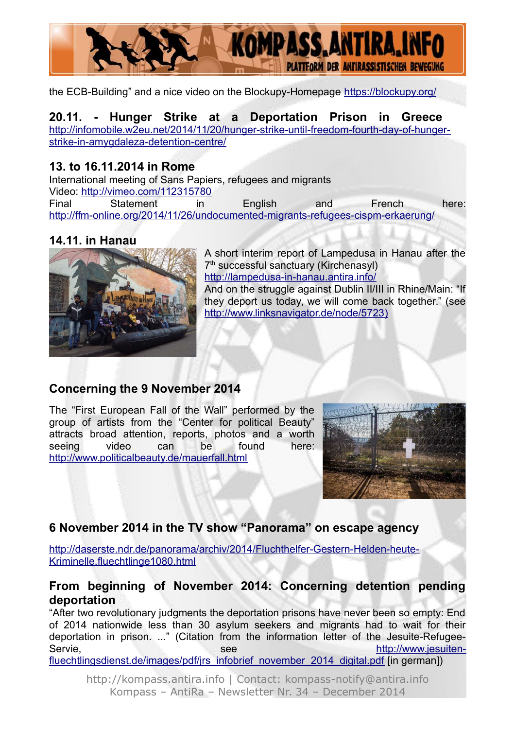

the ECB-Building" and a nice video on the Blockupy-Homepage<https://blockupy.org/>

#### **20.11. - Hunger Strike at a Deportation Prison in Greece**  [http://infomobile.w2eu.net/2014/11/20/hunger-strike-until-freedom-fourth-day-of-hunger](http://infomobile.w2eu.net/2014/11/20/hunger-strike-until-freedom-fourth-day-of-hunger-strike-in-amygdaleza-detention-centre/)[strike-in-amygdaleza-detention-centre/](http://infomobile.w2eu.net/2014/11/20/hunger-strike-until-freedom-fourth-day-of-hunger-strike-in-amygdaleza-detention-centre/)

#### **13. to 16.11.2014 in Rome**

International meeting of Sans Papiers, refugees and migrants Video:<http://vimeo.com/112315780> Final Statement in English and French here: <http://ffm-online.org/2014/11/26/undocumented-migrants-refugees-cispm-erkaerung/>

#### **14.11. in Hanau**



A short interim report of Lampedusa in Hanau after the 7<sup>th</sup> successful sanctuary (Kirchenasyl) <http://lampedusa-in-hanau.antira.info/> And on the struggle against Dublin II/III in Rhine/Main: "If they deport us today, we will come back together." (see  [http://www.linksnavigator.de/node/5723\)](http://www.linksnavigator.de/node/5723)

#### **Concerning the 9 November 2014**

The "First European Fall of the Wall" performed by the group of artists from the "Center for political Beauty" attracts broad attention, reports, photos and a worth seeing video can be found here: <http://www.politicalbeauty.de/mauerfall.html>



### **6 November 2014 in the TV show "Panorama" on escape agency**

[http://daserste.ndr.de/panorama/archiv/2014/Fluchthelfer-Gestern-Helden-heute-](http://daserste.ndr.de/panorama/archiv/2014/Fluchthelfer-Gestern-Helden-heute-Kriminelle,fluechtlinge1080.html)[Kriminelle,fluechtlinge1080.html](http://daserste.ndr.de/panorama/archiv/2014/Fluchthelfer-Gestern-Helden-heute-Kriminelle,fluechtlinge1080.html)

#### **From beginning of November 2014: Concerning detention pending deportation**

"After two revolutionary judgments the deportation prisons have never been so empty: End of 2014 nationwide less than 30 asylum seekers and migrants had to wait for their deportation in prison. ..." (Citation from the information letter of the Jesuite-RefugeeServie, see [http://www.jesuiten](http://www.jesuiten-fluechtlingsdienst.de/images/pdf/jrs_infobrief_november_2014_digital.pdf)fluechtlingsdienst.de/images/pdf/irs\_infobrief\_november\_2014\_digital.pdf [in german])